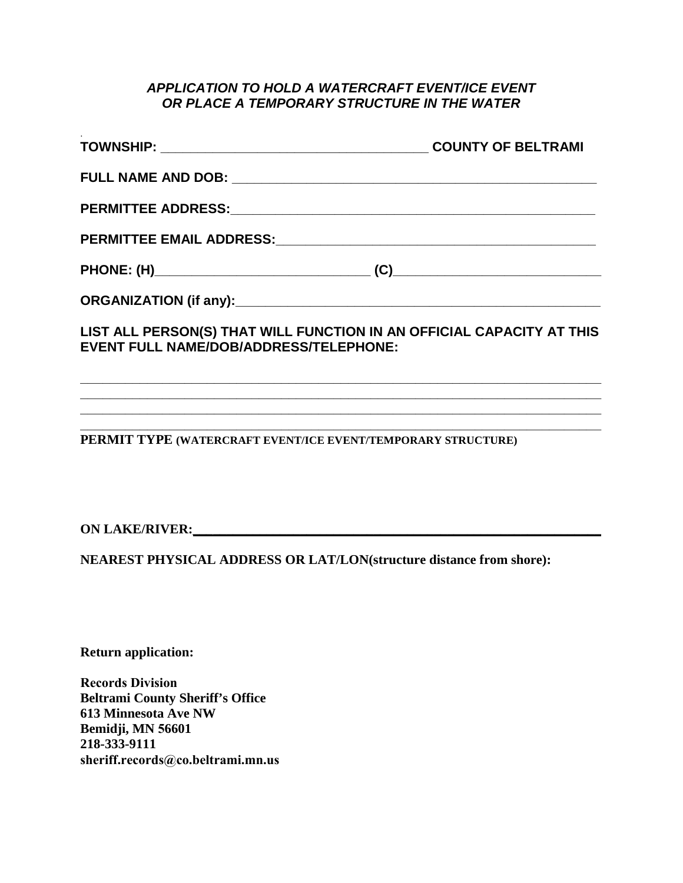## *APPLICATION TO HOLD A WATERCRAFT EVENT/ICE EVENT OR PLACE A TEMPORARY STRUCTURE IN THE WATER*

|                                                                                                                        | <b>COUNTY OF BELTRAMI</b> |
|------------------------------------------------------------------------------------------------------------------------|---------------------------|
|                                                                                                                        |                           |
|                                                                                                                        |                           |
|                                                                                                                        |                           |
|                                                                                                                        |                           |
|                                                                                                                        |                           |
| LIST ALL PERSON(S) THAT WILL FUNCTION IN AN OFFICIAL CAPACITY AT THIS<br><b>EVENT FULL NAME/DOB/ADDRESS/TELEPHONE:</b> |                           |
|                                                                                                                        |                           |

**\_\_\_\_\_\_\_\_\_\_\_\_\_\_\_\_\_\_\_\_\_\_\_\_\_\_\_\_\_\_\_\_\_\_\_\_\_\_\_\_\_\_\_\_\_\_\_\_\_\_\_\_\_\_\_\_\_\_\_\_\_\_\_\_\_\_\_\_\_\_ \_\_\_\_\_\_\_\_\_\_\_\_\_\_\_\_\_\_\_\_\_\_\_\_\_\_\_\_\_\_\_\_\_\_\_\_\_\_\_\_\_\_\_\_\_\_\_\_\_\_\_\_\_\_\_\_\_\_\_\_\_\_\_\_\_\_\_\_\_\_**

**PERMIT TYPE (WATERCRAFT EVENT/ICE EVENT/TEMPORARY STRUCTURE)** 

**ON LAKE/RIVER:** <u>**ON**</u>

**NEAREST PHYSICAL ADDRESS OR LAT/LON(structure distance from shore):**

**Return application:** 

**Records Division Beltrami County Sheriff's Office 613 Minnesota Ave NW Bemidji, MN 56601 [218-333-9111](mailto:ernie.beitel@co.beltrami.mn.us) sheriff.records@co.beltrami.mn.us**